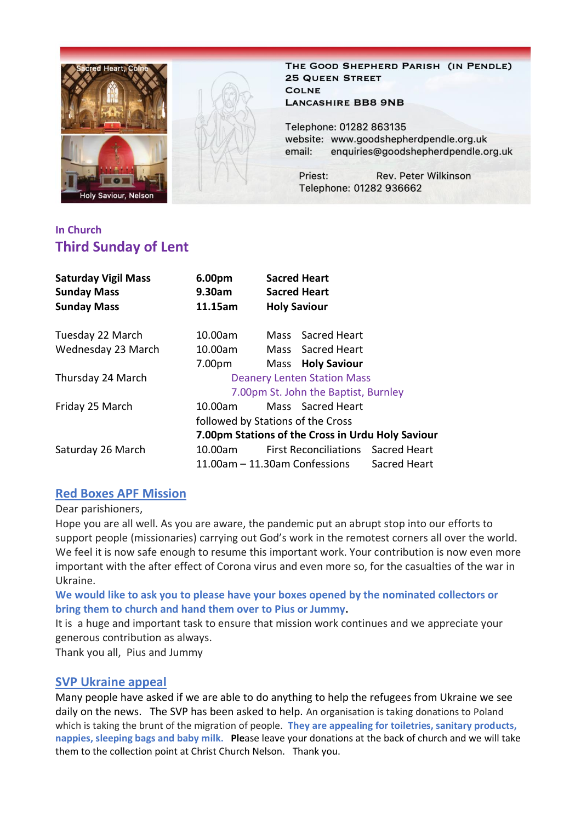

THE GOOD SHEPHERD PARISH (IN PENDLE) **25 QUEEN STREET COLNE LANCASHIRE BB8 9NB** 

Telephone: 01282 863135 website: www.goodshepherdpendle.org.uk email: enquiries@goodshepherdpendle.org.uk

Priest: **Rev. Peter Wilkinson** Telephone: 01282 936662

## **In Church Third Sunday of Lent**

| <b>Saturday Vigil Mass</b><br><b>Sunday Mass</b><br><b>Sunday Mass</b> | 6.00pm<br>9.30am<br>11.15am                       |  | <b>Sacred Heart</b><br><b>Sacred Heart</b><br><b>Holy Saviour</b> |  |  |
|------------------------------------------------------------------------|---------------------------------------------------|--|-------------------------------------------------------------------|--|--|
| Tuesday 22 March                                                       | 10.00am                                           |  | Mass Sacred Heart                                                 |  |  |
| Wednesday 23 March                                                     | 10.00am                                           |  | Mass Sacred Heart                                                 |  |  |
|                                                                        | 7.00pm                                            |  | Mass Holy Saviour                                                 |  |  |
| Thursday 24 March                                                      | <b>Deanery Lenten Station Mass</b>                |  |                                                                   |  |  |
|                                                                        | 7.00pm St. John the Baptist, Burnley              |  |                                                                   |  |  |
| Friday 25 March                                                        | 10.00am                                           |  | Mass Sacred Heart                                                 |  |  |
|                                                                        | followed by Stations of the Cross                 |  |                                                                   |  |  |
|                                                                        | 7.00pm Stations of the Cross in Urdu Holy Saviour |  |                                                                   |  |  |
| Saturday 26 March                                                      | 10.00am                                           |  | First Reconciliations Sacred Heart                                |  |  |
|                                                                        | Sacred Heart<br>11.00am - 11.30am Confessions     |  |                                                                   |  |  |

### **Red Boxes APF Mission**

#### Dear parishioners,

Hope you are all well. As you are aware, the pandemic put an abrupt stop into our efforts to support people (missionaries) carrying out God's work in the remotest corners all over the world. We feel it is now safe enough to resume this important work. Your contribution is now even more important with the after effect of Corona virus and even more so, for the casualties of the war in Ukraine.

**We would like to ask you to please have your boxes opened by the nominated collectors or bring them to church and hand them over to Pius or Jummy.**

It is a huge and important task to ensure that mission work continues and we appreciate your generous contribution as always.

Thank you all, Pius and Jummy

#### **SVP Ukraine appeal**

Many people have asked if we are able to do anything to help the refugees from Ukraine we see daily on the news. The SVP has been asked to help. An organisation is taking donations to Poland which is taking the brunt of the migration of people. **They are appealing for toiletries, sanitary products, nappies, sleeping bags and baby milk. Ple**ase leave your donations at the back of church and we will take them to the collection point at Christ Church Nelson. Thank you.